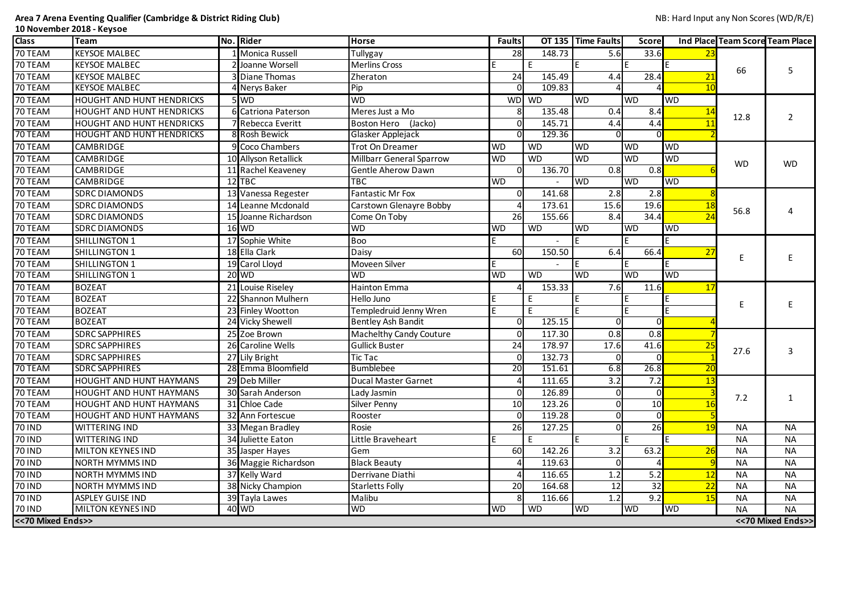**Area 7 Arena Eventing Qualifier (Cambridge & District Riding Club)** NB: Hard Input any Non Scores (WD/R/E) **10 November 2018 - Keysoe**

| <b>Class</b>      | <b>Team</b>                      | No. Rider    |                       | <b>Horse</b>                    | <b>Faults</b>   |           | OT 135 Time Faults | <b>Score</b> |            | <b>Ind Place Team Score Team Place</b> |                    |
|-------------------|----------------------------------|--------------|-----------------------|---------------------------------|-----------------|-----------|--------------------|--------------|------------|----------------------------------------|--------------------|
| 70 TEAM           | <b>KEYSOE MALBEC</b>             |              | <b>Monica Russell</b> | Tullygay                        | 28              | 148.73    | 5.6                | 33.6         |            |                                        |                    |
| 70 TEAM           | <b>KEYSOE MALBEC</b>             |              | Joanne Worsell        | <b>Merlins Cross</b>            |                 | F.        |                    |              |            |                                        | 5                  |
| 70 TEAM           | <b>KEYSOE MALBEC</b>             |              | <b>3</b> Diane Thomas | Zheraton                        | 24              | 145.49    | 4.4                | 28.4         | 21         | 66                                     |                    |
| 70 TEAM           | <b>KEYSOE MALBEC</b>             |              | 4 Nerys Baker         | Pip                             | $\Omega$        | 109.83    |                    |              |            |                                        |                    |
| 70 TEAM           | <b>HOUGHT AND HUNT HENDRICKS</b> | 5 WD         |                       | <b>WD</b>                       |                 | WD WD     | <b>I</b> WD        | <b>WD</b>    | <b>WD</b>  |                                        |                    |
| 70 TEAM           | <b>HOUGHT AND HUNT HENDRICKS</b> |              | 6 Catriona Paterson   | Meres Just a Mo                 |                 | 135.48    | 0.4                | 8.4          |            | 12.8                                   |                    |
| 70 TEAM           | HOUGHT AND HUNT HENDRICKS        |              | 7 Rebecca Everitt     | <b>Boston Hero</b><br>(Jacko)   | $\Omega$        | 145.71    | 4.4                | 4.4          |            |                                        |                    |
| 70 TEAM           | <b>HOUGHT AND HUNT HENDRICKS</b> |              | 8 Rosh Bewick         | Glasker Applejack               | $\Omega$        | 129.36    |                    |              |            |                                        |                    |
| 70 TEAM           | <b>CAMBRIDGE</b>                 |              | 9 Coco Chambers       | Trot On Dreamer                 | <b>WD</b>       | <b>WD</b> | <b>WD</b>          | <b>WD</b>    | <b>WD</b>  |                                        |                    |
| 70 TEAM           | <b>CAMBRIDGE</b>                 |              | 10 Allyson Retallick  | <b>Millbarr General Sparrow</b> | <b>WD</b>       | <b>WD</b> | <b>WD</b>          | <b>WD</b>    | <b>WD</b>  | <b>WD</b>                              | <b>WD</b>          |
| 70 TEAM           | <b>CAMBRIDGE</b>                 |              | 11 Rachel Keaveney    | <b>Gentle Aherow Dawn</b>       | $\Omega$        | 136.70    | 0.8                | 0.8          |            |                                        |                    |
| 70 TEAM           | <b>CAMBRIDGE</b>                 | $12$ TBC     |                       | <b>TBC</b>                      | <b>WD</b>       |           | <b>WD</b>          | <b>WD</b>    | <b>WD</b>  |                                        |                    |
| 70 TEAM           | <b>SDRC DIAMONDS</b>             |              | 13 Vanessa Regester   | <b>Fantastic Mr Fox</b>         | <sup>0</sup>    | 141.68    | 2.8                | 2.8          |            |                                        |                    |
| 70 TEAM           | <b>SDRC DIAMONDS</b>             |              | 14 Leanne Mcdonald    | Carstown Glenayre Bobby         |                 | 173.61    | 15.6               | 19.6         |            | 56.8                                   |                    |
| 70 TEAM           | <b>SDRC DIAMONDS</b>             |              | 15 Joanne Richardson  | Come On Toby                    | 26              | 155.66    | 8.4                | 34.4         | 24         |                                        |                    |
| 70 TEAM           | <b>SDRC DIAMONDS</b>             | $16$ WD      |                       | <b>WD</b>                       | <b>WD</b>       | <b>WD</b> | <b>WD</b>          | <b>WD</b>    | <b>WD</b>  |                                        |                    |
| 70 TEAM           | SHILLINGTON 1                    |              | 17 Sophie White       | <b>Boo</b>                      |                 |           |                    |              |            |                                        |                    |
| 70 TEAM           | SHILLINGTON 1                    |              | 18 Ella Clark         | Daisy                           | 60              | 150.50    | 6.4                | 66.4         | 27         |                                        |                    |
| 70 TEAM           | SHILLINGTON 1                    |              | 19 Carol Lloyd        | Moveen Silver                   |                 |           |                    |              |            | E                                      |                    |
| 70 TEAM           | SHILLINGTON 1                    | <b>20 WD</b> |                       | <b>WD</b>                       | <b>WD</b>       | <b>WD</b> | <b>WD</b>          | WD           | <b>WD</b>  |                                        |                    |
| 70 TEAM           | <b>BOZEAT</b>                    |              | 21 Louise Riseley     | <b>Hainton Emma</b>             |                 | 153.33    | 7.6                | 11.6         | 17         |                                        |                    |
| 70 TEAM           | <b>BOZEAT</b>                    |              | 22 Shannon Mulhern    | Hello Juno                      |                 | E         |                    |              |            |                                        |                    |
| 70 TEAM           | <b>BOZEAT</b>                    |              | 23 Finley Wootton     | Templedruid Jenny Wren          |                 | E         |                    |              |            |                                        |                    |
| 70 TEAM           | <b>BOZEAT</b>                    |              | 24 Vicky Shewell      | <b>Bentley Ash Bandit</b>       | $\Omega$        | 125.15    | $\Omega$           | $\Omega$     |            |                                        |                    |
| 70 TEAM           | <b>SDRC SAPPHIRES</b>            |              | 25 Zoe Brown          | <b>Machelthy Candy Couture</b>  | $\Omega$        | 117.30    | 0.8                | 0.8          |            |                                        |                    |
| 70 TEAM           | <b>SDRC SAPPHIRES</b>            |              | 26 Caroline Wells     | <b>Gullick Buster</b>           | 24              | 178.97    | 17.6               | 41.6         | <u> 25</u> | 27.6                                   |                    |
| 70 TEAM           | <b>SDRC SAPPHIRES</b>            |              | 27 Lily Bright        | <b>Tic Tac</b>                  | $\overline{O}$  | 132.73    | $\mathbf{U}$       | UI           |            |                                        |                    |
| 70 TEAM           | <b>SDRC SAPPHIRES</b>            |              | 28 Emma Bloomfield    | <b>Bumblebee</b>                | 20              | 151.61    | 6.8                | 26.8         | 20         |                                        |                    |
| 70 TEAM           | HOUGHT AND HUNT HAYMANS          |              | 29 Deb Miller         | <b>Ducal Master Garnet</b>      |                 | 111.65    | 3.2                | 7.2          | 13         |                                        |                    |
| 70 TEAM           | <b>HOUGHT AND HUNT HAYMANS</b>   |              | 30 Sarah Anderson     | Lady Jasmin                     | $\Omega$        | 126.89    |                    |              |            | 7.2                                    |                    |
| 70 TEAM           | <b>HOUGHT AND HUNT HAYMANS</b>   |              | 31 Chloe Cade         | <b>Silver Penny</b>             | 10 <sup>1</sup> | 123.26    |                    | 10           |            |                                        |                    |
| 70 TEAM           | HOUGHT AND HUNT HAYMANS          |              | 32 Ann Fortescue      | Rooster                         | $\overline{0}$  | 119.28    |                    |              |            |                                        |                    |
| <b>70 IND</b>     | <b>WITTERING IND</b>             |              | 33 Megan Bradley      | Rosie                           | 26              | 127.25    |                    | 26           | <b>19</b>  | <b>NA</b>                              | <b>NA</b>          |
| <b>70 IND</b>     | <b>WITTERING IND</b>             |              | 34 Juliette Eaton     | Little Braveheart               |                 | F.        |                    |              |            | <b>NA</b>                              | <b>NA</b>          |
| <b>70 IND</b>     | <b>MILTON KEYNES IND</b>         |              | 35 Jasper Hayes       | Gem                             | 60              | 142.26    | 3.2                | 63.2         | 26         | <b>NA</b>                              | <b>NA</b>          |
| <b>70 IND</b>     | <b>NORTH MYMMS IND</b>           |              | 36 Maggie Richardson  | <b>Black Beauty</b>             |                 | 119.63    |                    |              |            | <b>NA</b>                              | <b>NA</b>          |
| 70 IND            | <b>NORTH MYMMS IND</b>           |              | 37 Kelly Ward         | Derrivane Diathi                |                 | 116.65    | 1.2                | 5.2          | 12         | <b>NA</b>                              | <b>NA</b>          |
| 70 IND            | <b>NORTH MYMMS IND</b>           |              | 38 Nicky Champion     | <b>Starletts Folly</b>          | 20              | 164.68    | 12                 | 32           | 22         | <b>NA</b>                              | <b>NA</b>          |
| <b>70 IND</b>     | <b>ASPLEY GUISE IND</b>          |              | 39 Tayla Lawes        | Malibu                          | 8               | 116.66    | 1.2                | 9.2          | 15         | <b>NA</b>                              | <b>NA</b>          |
| 70 IND            | <b>MILTON KEYNES IND</b>         | 40 WD        |                       | <b>WD</b>                       | <b>WD</b>       | <b>WD</b> | <b>WD</b>          | <b>WD</b>    | <b>WD</b>  | <b>NA</b>                              | <b>NA</b>          |
| <<70 Mixed Ends>> |                                  |              |                       |                                 |                 |           |                    |              |            |                                        | << 70 Mixed Ends>> |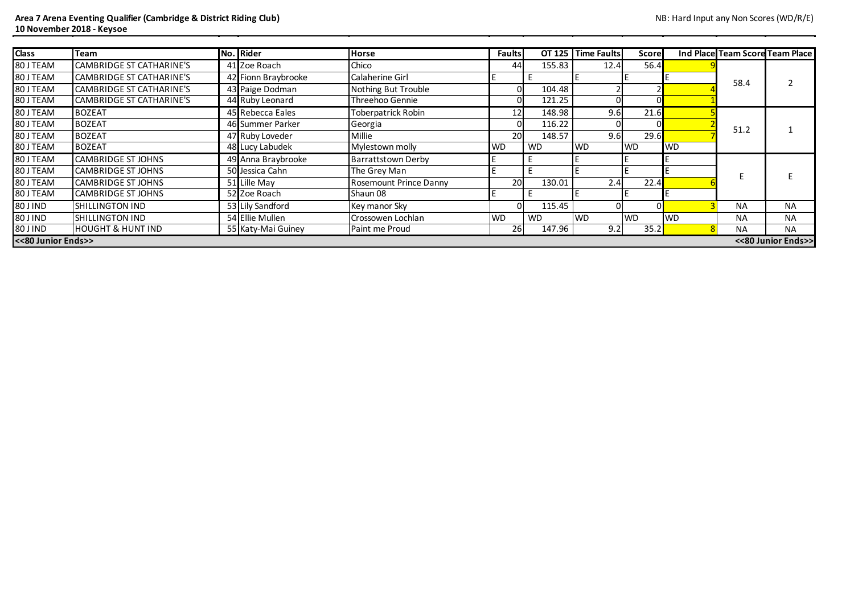| <b>Class</b> | Team                                     |  | No. Rider           | <b>Horse</b>                  | <b>Faults</b> | OT 125    | <b>Time Faults</b> | <b>Score</b> |           |           | Ind Place Team Score Team Place |
|--------------|------------------------------------------|--|---------------------|-------------------------------|---------------|-----------|--------------------|--------------|-----------|-----------|---------------------------------|
| 80 J TEAM    | CAMBRIDGE ST CATHARINE'S                 |  | 41 Zoe Roach        | Chico                         | 44            | 155.83    | 12.4               | 56.4         |           |           |                                 |
| 80 J TEAM    | CAMBRIDGE ST CATHARINE'S                 |  | 42 Fionn Braybrooke | <b>Calaherine Girl</b>        |               |           |                    |              |           |           |                                 |
| 80 J TEAM    | CAMBRIDGE ST CATHARINE'S                 |  | 43 Paige Dodman     | Nothing But Trouble           |               | 104.48    |                    |              |           | 58.4      |                                 |
| 80 J TEAM    | CAMBRIDGE ST CATHARINE'S                 |  | 44 Ruby Leonard     | Threehoo Gennie               |               | 121.25    |                    |              |           |           |                                 |
| 80 J TEAM    | <b>BOZEAT</b>                            |  | 45 Rebecca Eales    | <b>Toberpatrick Robin</b>     | 12            | 148.98    | 9.6                | 21.6         |           |           |                                 |
| 80 J TEAM    | <b>BOZEAT</b>                            |  | 46 Summer Parker    | Georgia                       |               | 116.22    |                    |              |           |           |                                 |
| 80 J TEAM    | <b>BOZEAT</b>                            |  | 47 Ruby Loveder     | Millie                        | 20            | 148.57    | 9.6                | 29.6         |           | 51.2      |                                 |
| 80 J TEAM    | <b>BOZEAT</b>                            |  | 48 Lucy Labudek     | Mylestown molly               | <b>WD</b>     | <b>WD</b> | <b>WD</b>          | <b>WD</b>    | <b>WD</b> |           |                                 |
| 80 J TEAM    | <b>CAMBRIDGE ST JOHNS</b>                |  | 49 Anna Braybrooke  | <b>Barrattstown Derby</b>     |               |           |                    |              |           |           |                                 |
| 80 J TEAM    | <b>CAMBRIDGE ST JOHNS</b>                |  | 50 Jessica Cahn     | The Grey Man                  |               |           |                    |              |           |           |                                 |
| 80 J TEAM    | <b>CAMBRIDGE ST JOHNS</b>                |  | 51 Lille May        | <b>Rosemount Prince Danny</b> | 20            | 130.01    | 2.4                | 22.4         |           |           |                                 |
| 80 J TEAM    | <b>CAMBRIDGE ST JOHNS</b>                |  | 52 Zoe Roach        | Shaun 08                      |               |           |                    |              |           |           |                                 |
| 80 J IND     | <b>SHILLINGTON IND</b>                   |  | 53 Lily Sandford    | Key manor Sky                 |               | 115.45    |                    | $\Omega$     |           | <b>NA</b> | <b>NA</b>                       |
| 80 J IND     | <b>SHILLINGTON IND</b>                   |  | 54 Ellie Mullen     | Crossowen Lochlan             | <b>WD</b>     | <b>WD</b> | <b>WD</b>          | <b>WD</b>    | <b>WD</b> | <b>NA</b> | <b>NA</b>                       |
| 80 J IND     | <b>HOUGHT &amp; HUNT IND</b>             |  | 55 Katy-Mai Guiney  | Paint me Proud                | 26            | 147.96    | 9.2                | 35.2         |           | <b>NA</b> | <b>NA</b>                       |
|              | <<80 Junior Ends>><br><<80 Junior Ends>> |  |                     |                               |               |           |                    |              |           |           |                                 |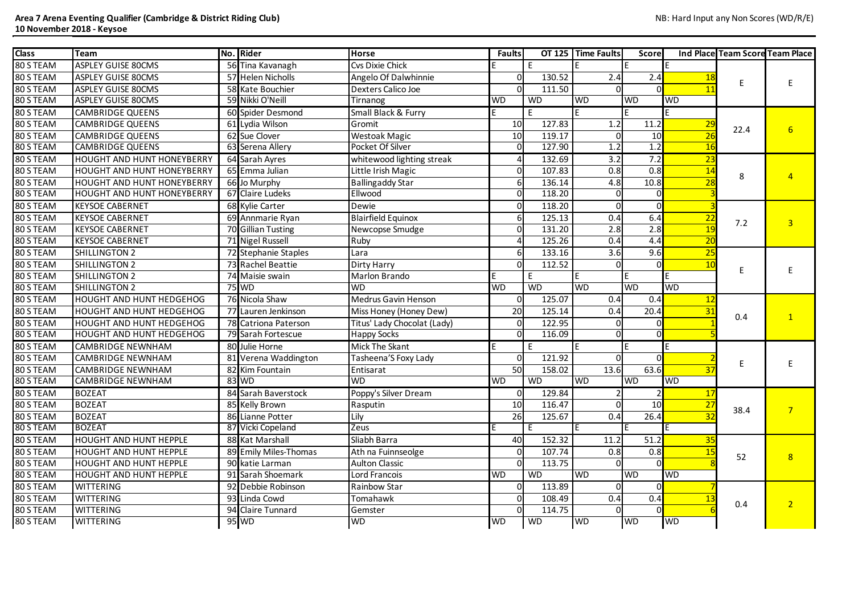| <b>Class</b> | <b>Team</b>                       | No. Rider             | <b>Horse</b>                   | <b>Faults</b>  | OT 125    | <b>Time Faults</b> | <b>Score</b>   |           |      | Ind Place Team Score Team Place |
|--------------|-----------------------------------|-----------------------|--------------------------------|----------------|-----------|--------------------|----------------|-----------|------|---------------------------------|
| 80 S TEAM    | <b>ASPLEY GUISE 80CMS</b>         | 56 Tina Kavanagh      | <b>Cvs Dixie Chick</b>         |                | E         |                    |                |           |      |                                 |
| 80 S TEAM    | <b>ASPLEY GUISE 80CMS</b>         | 57 Helen Nicholls     | Angelo Of Dalwhinnie           |                | 130.52    | 2.4                | 2.4            |           |      |                                 |
| 80 S TEAM    | <b>ASPLEY GUISE 80CMS</b>         | 58 Kate Bouchier      | <b>Dexters Calico Joe</b>      |                | 111.50    |                    |                |           |      |                                 |
| 80 S TEAM    | <b>ASPLEY GUISE 80CMS</b>         | 59 Nikki O'Neill      | Tirnanog                       | <b>WD</b>      | <b>WD</b> | <b>WD</b>          | <b>WD</b>      | WD        |      |                                 |
| 80 S TEAM    | <b>CAMBRIDGE QUEENS</b>           | 60 Spider Desmond     | <b>Small Black &amp; Furry</b> |                | E         |                    |                |           |      |                                 |
| 80 S TEAM    | <b>CAMBRIDGE QUEENS</b>           | 61 Lydia Wilson       | Gromit                         | 10             | 127.83    | 1.2                | 11.2           | <b>29</b> |      |                                 |
| 80 S TEAM    | <b>CAMBRIDGE QUEENS</b>           | 62 Sue Clover         | <b>Westoak Magic</b>           | 10             | 119.17    |                    | 10             |           | 22.4 | $6 \overline{6}$                |
| 80 S TEAM    | <b>CAMBRIDGE QUEENS</b>           | 63 Serena Allery      | Pocket Of Silver               | O              | 127.90    | 1.2                | 1.2            | 16        |      |                                 |
| 80 S TEAM    | <b>HOUGHT AND HUNT HONEYBERRY</b> | 64 Sarah Ayres        | whitewood lighting streak      |                | 132.69    | 3.2                | 7.2            | 23        |      |                                 |
| 80 S TEAM    | <b>HOUGHT AND HUNT HONEYBERRY</b> | 65 Emma Julian        | Little Irish Magic             |                | 107.83    | 0.8                | 0.8            | 14        |      |                                 |
| 80 S TEAM    | <b>HOUGHT AND HUNT HONEYBERRY</b> | 66 Jo Murphy          | <b>Ballingaddy Star</b>        | 6              | 136.14    | 4.8                | 10.8           |           | 8    |                                 |
| 80 S TEAM    | <b>HOUGHT AND HUNT HONEYBERRY</b> | 67 Claire Ludeks      | Ellwood                        |                | 118.20    |                    |                |           |      |                                 |
| 80 S TEAM    | <b>KEYSOE CABERNET</b>            | 68 Kylie Carter       | Dewie                          |                | 118.20    |                    | $\Omega$       |           |      |                                 |
| 80 S TEAM    | <b>KEYSOE CABERNET</b>            | 69 Annmarie Ryan      | <b>Blairfield Equinox</b>      |                | 125.13    | 0.4                | 6.4            | 22        |      |                                 |
| 80 S TEAM    | <b>KEYSOE CABERNET</b>            | 70 Gillian Tusting    | Newcopse Smudge                | ∩              | 131.20    | 2.8                | 2.8            | 19        | 7.2  | $\overline{3}$                  |
| 80 S TEAM    | <b>KEYSOE CABERNET</b>            | 71 Nigel Russell      | Ruby                           |                | 125.26    | 0.4                | 4.4            | 20        |      |                                 |
| 80 S TEAM    | <b>SHILLINGTON 2</b>              | 72 Stephanie Staples  | Lara                           |                | 133.16    | 3.6                | 9.6            | 25        |      |                                 |
| 80 S TEAM    | SHILLINGTON 2                     | 73 Rachel Beattie     | Dirty Harry                    |                | 112.52    |                    | $\overline{0}$ |           |      |                                 |
| 80 S TEAM    | <b>SHILLINGTON 2</b>              | 74 Maisie swain       | Marlon Brando                  |                | E         |                    |                |           |      |                                 |
| 80 S TEAM    | <b>SHILLINGTON 2</b>              | 75 WD                 | <b>WD</b>                      | <b>WD</b>      | WD        | <b>WD</b>          | WD             | WD        |      |                                 |
| 80 S TEAM    | <b>HOUGHT AND HUNT HEDGEHOG</b>   | 76 Nicola Shaw        | <b>Medrus Gavin Henson</b>     |                | 125.07    | 0.4                | 0.4            | 12        |      |                                 |
| 80 S TEAM    | <b>HOUGHT AND HUNT HEDGEHOG</b>   | 77 Lauren Jenkinson   | Miss Honey (Honey Dew)         | 20             | 125.14    | 0.4                | 20.4           | 31        | 0.4  |                                 |
| 80 S TEAM    | <b>HOUGHT AND HUNT HEDGEHOG</b>   | 78 Catriona Paterson  | Titus' Lady Chocolat (Lady)    |                | 122.95    |                    |                |           |      |                                 |
| 80 S TEAM    | <b>HOUGHT AND HUNT HEDGEHOG</b>   | 79 Sarah Fortescue    | <b>Happy Socks</b>             |                | 116.09    |                    | 0              |           |      |                                 |
| 80 S TEAM    | <b>CAMBRIDGE NEWNHAM</b>          | 80 Julie Horne        | Mick The Skant                 |                | E         |                    |                |           |      |                                 |
| 80 S TEAM    | <b>CAMBRIDGE NEWNHAM</b>          | 81 Verena Waddington  | Tasheena'S Foxy Lady           | $\overline{0}$ | 121.92    |                    | $\mathsf{O}$   |           | E.   |                                 |
| 80 S TEAM    | <b>CAMBRIDGE NEWNHAM</b>          | 82 Kim Fountain       | Entisarat                      | 50             | 158.02    | 13.6               | 63.6           | 37        |      |                                 |
| 80 S TEAM    | <b>CAMBRIDGE NEWNHAM</b>          | 83 WD                 | <b>WD</b>                      | <b>WD</b>      | WD        | WD                 | WD             | <b>WD</b> |      |                                 |
| 80 S TEAM    | <b>BOZEAT</b>                     | 84 Sarah Baverstock   | Poppy's Silver Dream           |                | 129.84    |                    |                | 17        |      |                                 |
| 80 S TEAM    | <b>BOZEAT</b>                     | 85 Kelly Brown        | Rasputin                       | 10             | 116.47    |                    | 10             | 27        | 38.4 | $\overline{7}$                  |
| 80 S TEAM    | <b>BOZEAT</b>                     | 86 Lianne Potter      | Lily                           | 26             | 125.67    | 0.4                | 26.4           | 32        |      |                                 |
| 80 S TEAM    | <b>BOZEAT</b>                     | 87 Vicki Copeland     | Zeus                           |                | E         |                    | ΙE             |           |      |                                 |
| 80 S TEAM    | <b>HOUGHT AND HUNT HEPPLE</b>     | 88 Kat Marshall       | Sliabh Barra                   | 40             | 152.32    | 11.2               | 51.2           | 35        |      |                                 |
| 80 S TEAM    | <b>HOUGHT AND HUNT HEPPLE</b>     | 89 Emily Miles-Thomas | Ath na Fuinnseolge             | 0l             | 107.74    | 0.8                | 0.8            |           | 52   | 8                               |
| 80 S TEAM    | <b>HOUGHT AND HUNT HEPPLE</b>     | 90 katie Larman       | <b>Aulton Classic</b>          |                | 113.75    |                    |                |           |      |                                 |
| 80 S TEAM    | <b>HOUGHT AND HUNT HEPPLE</b>     | 91 Sarah Shoemark     | Lord Francois                  | <b>WD</b>      | <b>WD</b> | <b>WD</b>          | <b>WD</b>      | <b>WD</b> |      |                                 |
| 80 S TEAM    | <b>WITTERING</b>                  | 92 Debbie Robinson    | <b>Rainbow Star</b>            |                | 113.89    |                    | $\mathbf{0}$   |           |      |                                 |
| 80 S TEAM    | <b>WITTERING</b>                  | 93 Linda Cowd         | Tomahawk                       |                | 108.49    | 0.4                | 0.4            |           | 0.4  | $\overline{2}$                  |
| 80 S TEAM    | <b>WITTERING</b>                  | 94 Claire Tunnard     | Gemster                        |                | 114.75    |                    | $\Omega$       |           |      |                                 |
| 80 S TEAM    | <b>WITTERING</b>                  | 95 WD                 | <b>WD</b>                      | <b>WD</b>      | <b>WD</b> | <b>WD</b>          | WD             | WD        |      |                                 |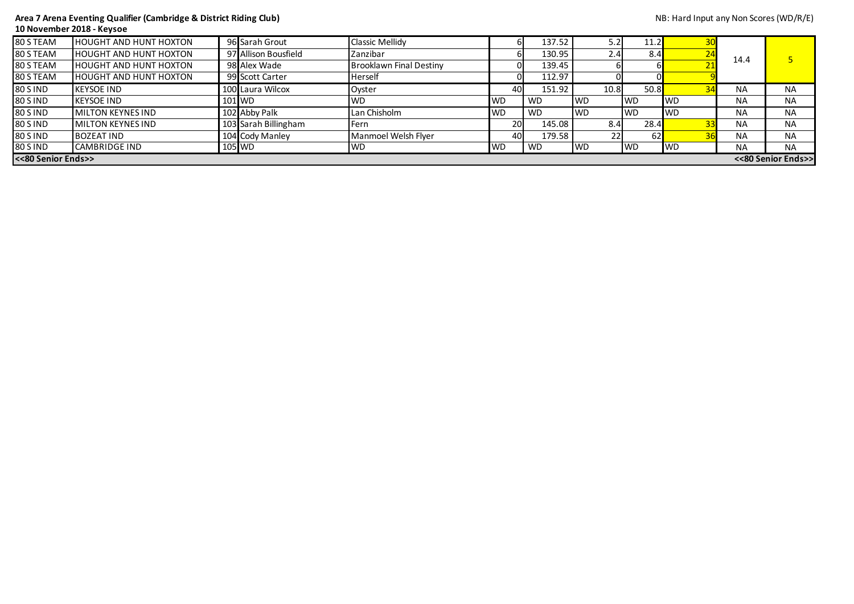## **Area 7 Arena Eventing Qualifier (Cambridge & District Riding Club)** NB: Hard Input any Non Scores (WD/R/E) **10 November 2018 - Keysoe**

| 80 S TEAM       | <b>HOUGHT AND HUNT HOXTON</b>            |  | 96 Sarah Grout       | <b>Classic Mellidy</b>         |           | 137.52    | 5.2         | 11.2      |            |           |           |
|-----------------|------------------------------------------|--|----------------------|--------------------------------|-----------|-----------|-------------|-----------|------------|-----------|-----------|
| 80 S TEAM       | <b>HOUGHT AND HUNT HOXTON</b>            |  | 97 Allison Bousfield | Zanzibar                       |           | 130.95    | 2.41        | 8.4       |            | 14.4      |           |
| 80 S TEAM       | <b>HOUGHT AND HUNT HOXTON</b>            |  | 98 Alex Wade         | <b>Brooklawn Final Destiny</b> |           | 139.45    |             |           |            |           |           |
| 80 S TEAM       | <b>HOUGHT AND HUNT HOXTON</b>            |  | 99 Scott Carter      | Herself                        |           | 112.97    |             |           |            |           |           |
| <b>80 S IND</b> | <b>KEYSOE IND</b>                        |  | 100 Laura Wilcox     | Oyster                         | 40        | 151.92    | 10.8        | 50.8      |            | <b>NA</b> | <b>NA</b> |
| <b>80 S IND</b> | <b>KEYSOE IND</b>                        |  | $101$ WD             | <b>WD</b>                      | <b>WD</b> | <b>WD</b> | <b>IWD</b>  | IWD.      | <b>IWD</b> | <b>NA</b> | <b>NA</b> |
| <b>80 S IND</b> | <b>MILTON KEYNES IND</b>                 |  | 102 Abby Palk        | Lan Chisholm                   | <b>WD</b> | <b>WD</b> | <b>I</b> WD | <b>WD</b> | <b>IWD</b> | <b>NA</b> | <b>NA</b> |
| <b>80 S IND</b> | <b>MILTON KEYNES IND</b>                 |  | 103 Sarah Billingham | Fern                           | <b>20</b> | 145.08    | 8.4         | 28.4      |            | <b>NA</b> | <b>NA</b> |
| <b>80 S IND</b> | <b>BOZEAT IND</b>                        |  | 104 Cody Manley      | Manmoel Welsh Flyer            | 40        | 179.58    | 22          | 62        |            | <b>NA</b> | <b>NA</b> |
| <b>80 S IND</b> | <b>CAMBRIDGE IND</b>                     |  | $105$ WD             | <b>WD</b>                      | <b>WD</b> | <b>WD</b> | <b>IWD</b>  | <b>WD</b> | <b>IWD</b> | <b>NA</b> | <b>NA</b> |
|                 | <<80 Senior Ends>><br><<80 Senior Ends>> |  |                      |                                |           |           |             |           |            |           |           |

| NB: Hard Input any Non Scores (WD/R/E) |  |  |
|----------------------------------------|--|--|
|----------------------------------------|--|--|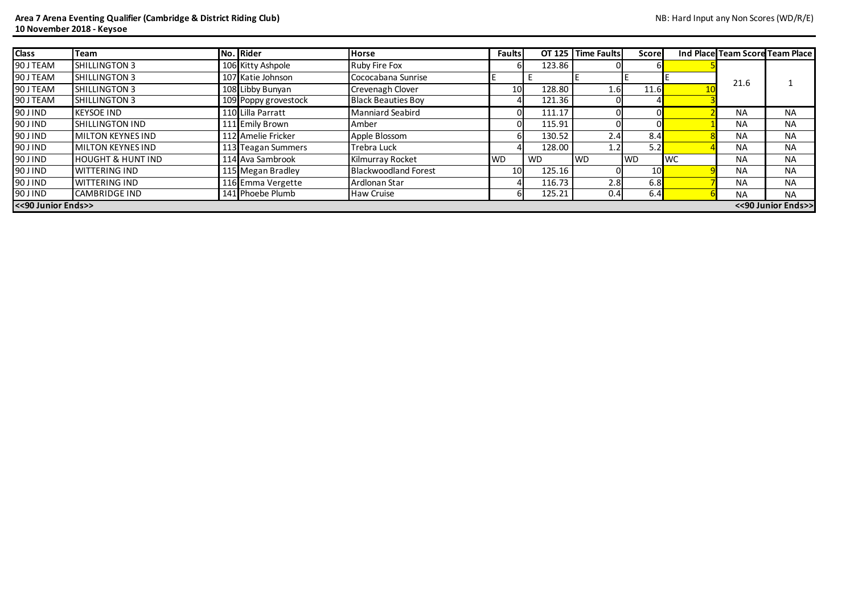## **Area 7 Arena Eventing Qualifier (Cambridge & District Riding Club)** NB: Hard Input any Non Scores (WD/R/E) **10 November 2018 - Keysoe**

| <b>Class</b>                               | Team                         |  | No. Rider            | <b>Horse</b>                |           | <b>Faults</b>   |           | OT 125 Time Faults | <b>Score</b> |            |           | Ind Place Team Score Team Place |
|--------------------------------------------|------------------------------|--|----------------------|-----------------------------|-----------|-----------------|-----------|--------------------|--------------|------------|-----------|---------------------------------|
| 90 J TEAM                                  | SHILLINGTON 3                |  | 106 Kitty Ashpole    | <b>Ruby Fire Fox</b>        |           |                 | 123.86    |                    | ы            |            |           |                                 |
| 90 J TEAM                                  | SHILLINGTON 3                |  | 107 Katie Johnson    | Cococabana Sunrise          |           |                 |           |                    |              |            | 21.6      |                                 |
| 90 J TEAM                                  | <b>I</b> SHILLINGTON 3       |  | 108 Libby Bunyan     | Crevenagh Clover            |           | 10 <sub>l</sub> | 128.80    | 1.6                | 11.6         |            |           |                                 |
| 90 J TEAM                                  | SHILLINGTON 3                |  | 109 Poppy grovestock | <b>Black Beauties Boy</b>   |           |                 | 121.36    |                    |              |            |           |                                 |
| 90 J IND                                   | <b>KEYSOE IND</b>            |  | 110 Lilla Parratt    | <b>Manniard Seabird</b>     |           |                 | 111.17    |                    | $\mathbf{0}$ |            | <b>NA</b> | <b>NA</b>                       |
| 90 J IND                                   | <b>SHILLINGTON IND</b>       |  | 111 Emily Brown      | Amber                       |           |                 | 115.91    |                    |              |            | <b>NA</b> | <b>NA</b>                       |
| 90 J IND                                   | <b>MILTON KEYNES IND</b>     |  | 112 Amelie Fricker   | Apple Blossom               |           |                 | 130.52    | 2.4                | 8.4          |            | <b>NA</b> | <b>NA</b>                       |
| 90 J IND                                   | <b>MILTON KEYNES IND</b>     |  | 113 Teagan Summers   | <b>Trebra Luck</b>          |           |                 | 128.00    | 1.2                | 5.2          |            | <b>NA</b> | <b>NA</b>                       |
| 90 J IND                                   | <b>HOUGHT &amp; HUNT IND</b> |  | 114 Ava Sambrook     | <b>Kilmurray Rocket</b>     | <b>WD</b> |                 | <b>WD</b> | <b>WD</b>          | <b>WD</b>    | <b>IWC</b> | <b>NA</b> | <b>NA</b>                       |
| 90 J IND                                   | <b>WITTERING IND</b>         |  | 115 Megan Bradley    | <b>Blackwoodland Forest</b> |           | 10              | 125.16    |                    | 10           |            | <b>NA</b> | <b>NA</b>                       |
| 90 J IND                                   | <b>WITTERING IND</b>         |  | 116 Emma Vergette    | Ardlonan Star               |           |                 | 116.73    | 2.8                | 6.8          |            | <b>NA</b> | <b>NA</b>                       |
| 90 J IND                                   | <b>CAMBRIDGE IND</b>         |  | 141 Phoebe Plumb     | Haw Cruise                  |           |                 | 125.21    | 0.4                | 6.4          |            | <b>NA</b> | <b>NA</b>                       |
| << 90 Junior Ends>><br><< 90 Junior Ends>> |                              |  |                      |                             |           |                 |           |                    |              |            |           |                                 |